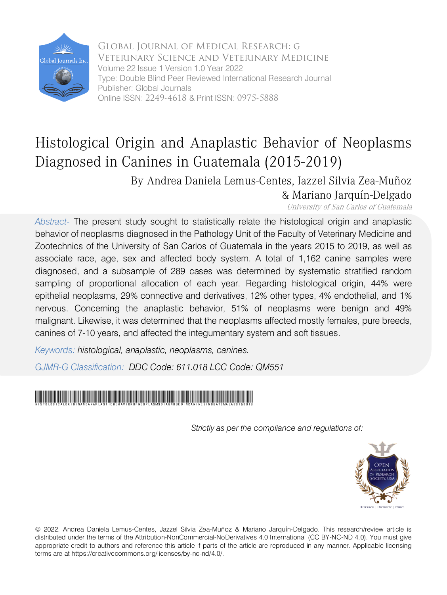

 Global Journal of Medical Research: g Veterinary Science and Veterinary Medicine Volume 22 Issue 1 Version 1.0 Year 2022 Type: Double Blind Peer Reviewed International Research Journal Publisher: Global Journals Online ISSN: 2249-4618 & Print ISSN: 0975-5888

## Histological Origin and Anaplastic Behavior of Neoplasms Diagnosed in Canines in Guatemala (2015-2019)

By Andrea Daniela Lemus-Centes, Jazzel Silvia Zea-Muñoz & Mariano Jarquín-Delgado

University of San Carlos of Guatemala

*Abstract-* The present study sought to statistically relate the histological origin and anaplastic behavior of neoplasms diagnosed in the Pathology Unit of the Faculty of Veterinary Medicine and Zootechnics of the University of San Carlos of Guatemala in the years 2015 to 2019, as well as associate race, age, sex and affected body system. A total of 1,162 canine samples were diagnosed, and a subsample of 289 cases was determined by systematic stratified random sampling of proportional allocation of each year. Regarding histological origin, 44% were epithelial neoplasms, 29% connective and derivatives, 12% other types, 4% endothelial, and 1% nervous. Concerning the anaplastic behavior, 51% of neoplasms were benign and 49% malignant. Likewise, it was determined that the neoplasms affected mostly females, pure breeds, canines of 7-10 years, and affected the integumentary system and soft tissues.

*Keywords: histological, anaplastic, neoplasms, canines.*

*GJMR-G Classification: DDC Code: 611.018 LCC Code: QM551*



 *Strictly as per the compliance and regulations of:*



© 2022. Andrea Daniela Lemus-Centes, Jazzel Silvia Zea-Muñoz & Mariano Jarquín-Delgado. This research/review article is distributed under the terms of the Attribution-NonCommercial-NoDerivatives 4.0 International (CC BY-NC-ND 4.0). You must give appropriate credit to authors and reference this article if parts of the article are reproduced in any manner. Applicable licensing terms are at https://creativecommons.org/licenses/by-nc-nd/4.0/.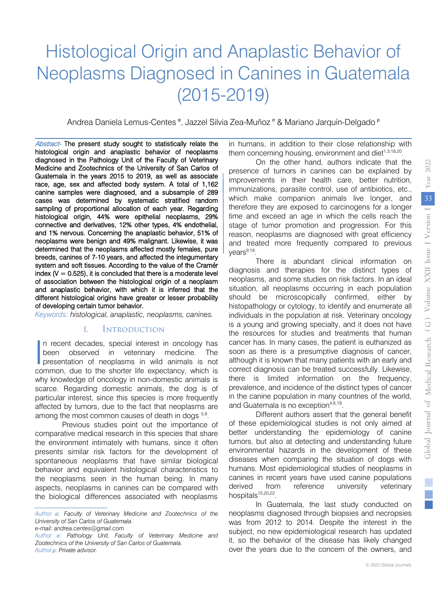# Histological Origin and Anaplastic Behavior of Neoplasms Diagnosed in Canines in Guatemala (2015-2019)

Andrea Daniela Lemus-Centes <sup>α</sup>, Jazzel Silvia Zea-Muñoz <sup>σ</sup> & Mariano Jarquín-Delgado <sup>ρ</sup>

Abstract- The present study sought to statistically relate the index  $(V = 0.525)$ , it is concluded that there is a moderate level histological origin and anaplastic behavior of neoplasms diagnosed in the Pathology Unit of the Faculty of Veterinary Medicine and Zootechnics of the University of San Carlos of Guatemala in the years 2015 to 2019, as well as associate race, age, sex and affected body system. A total of 1,162 canine samples were diagnosed, and a subsample of 289 cases was determined by systematic stratified random sampling of proportional allocation of each year. Regarding histological origin, 44% were epithelial neoplasms, 29% connective and derivatives, 12% other types, 4% endothelial, and 1% nervous. Concerning the anaplastic behavior, 51% of neoplasms were benign and 49% malignant. Likewise, it was determined that the neoplasms affected mostly females, pure breeds, canines of 7-10 years, and affected the integumentary system and soft tissues. According to the value of the Cramér of association between the histological origin of a neoplasm and anaplastic behavior, with which it is inferred that the different histological origins have greater or lesser probability of developing certain tumor behavior.

*Keywords: histological, anaplastic, neoplasms, canines.*

#### I. Introduction

n recent decades, special interest in oncology has been observed in veterinary medicine. The In recent decades, special interest in oncology has<br>been observed in veterinary medicine. The<br>presentation of neoplasms in wild animals is not common, due to the shorter life expectancy, which is why knowledge of oncology in non-domestic animals is scarce. Regarding domestic animals, the dog is of particular interest, since this species is more frequently affected by tumors, due to the fact that neoplasms are among the most common causes of death in dogs  $5.9$ .

 the biological differences associated with neoplasms Previous studies point out the importance of comparative medical research in this species that share the environment intimately with humans, since it often presents similar risk factors for the development of spontaneous neoplasms that have similar biological behavior and equivalent histological characteristics to the neoplasms seen in the human being. In many aspects, neoplasms in canines can be compared with in humans, in addition to their close relationship with them concerning housing, environment and diet $1,3,18,20$ .

On the other hand, authors indicate that the presence of tumors in canines can be explained by improvements in their health care, better nutrition, immunizations, parasite control, use of antibiotics, etc., which make companion animals live longer, and therefore they are exposed to carcinogens for a longer time and exceed an age in which the cells reach the stage of tumor promotion and progression. For this reason, neoplasms are diagnosed with great efficiency and treated more frequently compared to previous vears<sup>9,18</sup>.

There is abundant clinical information on diagnosis and therapies for the distinct types of neoplasms, and some studies on risk factors. In an ideal situation, all neoplasms occurring in each population should be microscopically confirmed, either by histopathology or cytology, to identify and enumerate all individuals in the population at risk. Veterinary oncology is a young and growing specialty, and it does not have the resources for studies and treatments that human cancer has. In many cases, the patient is euthanized as soon as there is a presumptive diagnosis of cancer, although it is known that many patients with an early and correct diagnosis can be treated successfully. Likewise, there is limited information on the frequency, prevalence, and incidence of the distinct types of cancer in the canine population in many countries of the world, and Guatemala is no exception<sup>4,6,19</sup>.

Different authors assert that the general benefit of these epidemiological studies is not only aimed at better understanding the epidemiology of canine tumors, but also at detecting and understanding future environmental hazards in the development of these diseases when comparing the situation of dogs with humans. Most epidemiological studies of neoplasms in canines in recent years have used canine populations derived from reference university veterinary hospitals<sup>15,20,22</sup>.

In Guatemala, the last study conducted on neoplasms diagnosed through biopsies and necropsies was from 2012 to 2014. Despite the interest in the subject, no new epidemiological research has updated it, so the behavior of the disease has likely changed over the years due to the concern of the owners, and

*Author α: Faculty of Veterinary Medicine and Zootechnics of the University of San Carlos of Guatemala. e-mail: andrea.centes@gmail.com*

*Author σ: Pathology Unit, Faculty of Veterinary Medicine and Zootechnics of the University of San Carlos of Guatemala. Author ρ: Private advisor.*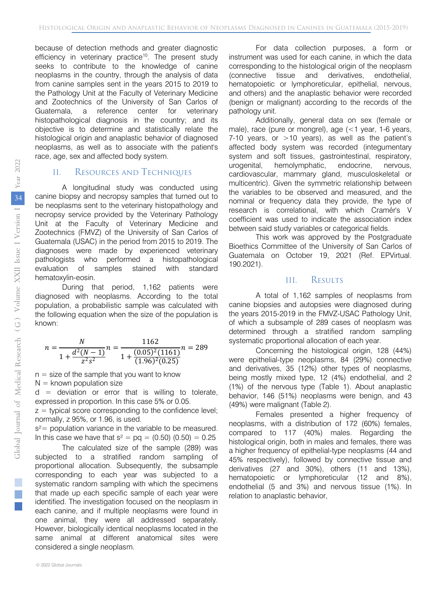because of detection methods and greater diagnostic efficiency in veterinary practice<sup>10</sup>. The present study seeks to contribute to the knowledge of canine neoplasms in the country, through the analysis of data from canine samples sent in the years 2015 to 2019 to the Pathology Unit at the Faculty of Veterinary Medicine and Zootechnics of the University of San Carlos of Guatemala, a reference center for veterinary histopathological diagnosis in the country; and its objective is to determine and statistically relate the histological origin and anaplastic behavior of diagnosed neoplasms, as well as to associate with the patient's race, age, sex and affected body system.

#### II. Resources and Techniques

A longitudinal study was conducted using canine biopsy and necropsy samples that turned out to be neoplasms sent to the veterinary histopathology and necropsy service provided by the Veterinary Pathology Unit at the Faculty of Veterinary Medicine and Zootechnics (FMVZ) of the University of San Carlos of Guatemala (USAC) in the period from 2015 to 2019. The diagnoses were made by experienced veterinary pathologists who performed a histopathological evaluation of samples stained with standard hematoxylin-eosin.

During that period, 1,162 patients were diagnosed with neoplasms. According to the total population, a probabilistic sample was calculated with the following equation when the size of the population is known:

$$
n = \frac{N}{1 + \frac{d^2(N-1)}{z^2 s^2}} n = \frac{1162}{1 + \frac{(0.05)^2 (1161)}{(1.96)^2 (0.25)}} n = 289
$$

 $n =$  size of the sample that you want to know

 $N =$  known population size

 $d =$  deviation or error that is willing to tolerate, expressed in proportion. In this case 5% or 0.05.

 $z =$  typical score corresponding to the confidence level: normally, z 95%, or 1.96, is used.

 $s^2$ = population variance in the variable to be measured. In this case we have that  $s^2 = pq = (0.50) (0.50) = 0.25$ 

The calculated size of the sample (289) was subjected to a stratified random sampling of proportional allocation. Subsequently, the subsample corresponding to each year was subjected to a systematic random sampling with which the specimens that made up each specific sample of each year were identified. The investigation focused on the neoplasm in each canine, and if multiple neoplasms were found in one animal, they were all addressed separately. However, biologically identical neoplasms located in the same animal at different anatomical sites were considered a single neoplasm.

For data collection purposes, a form or instrument was used for each canine, in which the data corresponding to the histological origin of the neoplasm (connective tissue and derivatives, endothelial, hematopoietic or lymphoreticular, epithelial, nervous, and others) and the anaplastic behavior were recorded (benign or malignant) according to the records of the pathology unit.

Additionally, general data on sex (female or male), race (pure or mongrel), age (<1 year, 1-6 years, 7-10 years, or  $>10$  years), as well as the patient's affected body system was recorded (integumentary system and soft tissues, gastrointestinal, respiratory, urogenital, hemolymphatic, endocrine, nervous, cardiovascular, mammary gland, musculoskeletal or multicentric). Given the symmetric relationship between the variables to be observed and measured, and the nominal or frequency data they provide, the type of research is correlational, with which Cramér's V coefficient was used to indicate the association index between said study variables or categorical fields.

This work was approved by the Postgraduate Bioethics Committee of the University of San Carlos of Guatemala on October 19, 2021 (Ref. EPVirtual. 190.2021).

#### III. Results

A total of 1,162 samples of neoplasms from canine biopsies and autopsies were diagnosed during the years 2015-2019 in the FMVZ-USAC Pathology Unit, of which a subsample of 289 cases of neoplasm was determined through a stratified random sampling systematic proportional allocation of each year.

Concerning the histological origin, 128 (44%) were epithelial-type neoplasms, 84 (29%) connective and derivatives, 35 (12%) other types of neoplasms, being mostly mixed type, 12 (4%) endothelial, and 2 (1%) of the nervous type (Table 1). About anaplastic behavior, 146 (51%) neoplasms were benign, and 43 (49%) were malignant (Table 2).

Females presented a higher frequency of neoplasms, with a distribution of 172 (60%) females, compared to 117 (40%) males. Regarding the histological origin, both in males and females, there was a higher frequency of epithelial-type neoplasms (44 and 45% respectively), followed by connective tissue and derivatives (27 and 30%), others (11 and 13%), hematopoietic or lymphoreticular (12 and 8%), endothelial (5 and 3%) and nervous tissue (1%). In relation to anaplastic behavior,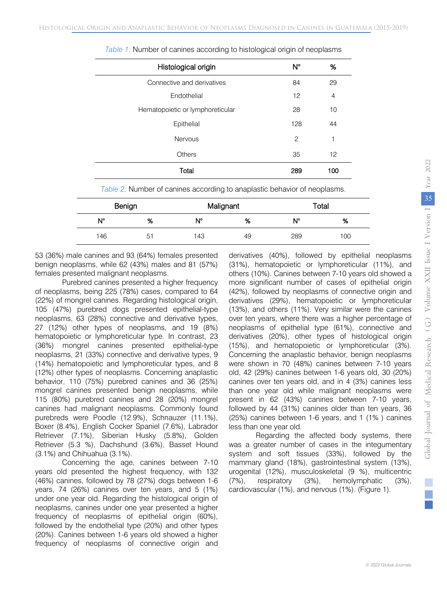| Histological origin              | $N^{\circ}$    | %   |
|----------------------------------|----------------|-----|
| Connective and derivatives       | 84             | 29  |
| Endothelial                      | 12             | 4   |
| Hematopoietic or lymphoreticular | 28             | 10  |
| Epithelial                       | 128            | 44  |
| <b>Nervous</b>                   | $\overline{c}$ | 1   |
| Others                           | 35             | 12  |
| Total                            | 289            | 100 |

| Table 1: Number of canines according to histological origin of neoplasms |  |  |  |
|--------------------------------------------------------------------------|--|--|--|
|                                                                          |  |  |  |

*Table 2:* Number of canines according to anaplastic behavior of neoplasms.

| Benign      |    | Malignant |    |     | Total |
|-------------|----|-----------|----|-----|-------|
| $N^{\circ}$ | %  | N°        | %  | N°  | %     |
| 146         | 51 | 143       | 49 | 289 | 100   |

53 (36%) male canines and 93 (64%) females presented benign neoplasms, while 62 (43%) males and 81 (57%) females presented malignant neoplasms.

Purebred canines presented a higher frequency of neoplasms, being 225 (78%) cases, compared to 64 (22%) of mongrel canines. Regarding histological origin, 105 (47%) purebred dogs presented epithelial-type neoplasms, 63 (28%) connective and derivative types, 27 (12%) other types of neoplasms, and 19 (8%) hematopoietic or lymphoreticular type. In contrast, 23 (36%) mongrel canines presented epithelial-type neoplasms, 21 (33%) connective and derivative types, 9 (14%) hematopoietic and lymphoreticular types, and 8 (12%) other types of neoplasms. Concerning anaplastic behavior, 110 (75%) purebred canines and 36 (25%) mongrel canines presented benign neoplasms, while 115 (80%) purebred canines and 28 (20%) mongrel canines had malignant neoplasms. Commonly found purebreds were Poodle (12.9%), Schnauzer (11.1%), Boxer (8.4%), English Cocker Spaniel (7.6%), Labrador Retriever (7.1%), Siberian Husky (5.8%), Golden Retriever (5.3 %), Dachshund (3.6%), Basset Hound (3.1%) and Chihuahua (3.1%).

Concerning the age, canines between 7-10 years old presented the highest frequency, with 132 (46%) canines, followed by 78 (27%) dogs between 1-6 years, 74 (26%) canines over ten years, and 5 (1%) under one year old. Regarding the histological origin of neoplasms, canines under one year presented a higher frequency of neoplasms of epithelial origin (60%), followed by the endothelial type (20%) and other types (20%). Canines between 1-6 years old showed a higher frequency of neoplasms of connective origin and derivatives (40%), followed by epithelial neoplasms (31%), hematopoietic or lymphoreticular (11%), and others (10%). Canines between 7-10 years old showed a more significant number of cases of epithelial origin (42%), followed by neoplasms of connective origin and derivatives (29%), hematopoietic or lymphoreticular (13%), and others (11%). Very similar were the canines over ten years, where there was a higher percentage of neoplasms of epithelial type (61%), connective and derivatives (20%), other types of histological origin (15%), and hematopoietic or lymphoreticular (3%). Concerning the anaplastic behavior, benign neoplasms were shown in 70 (48%) canines between 7-10 years old, 42 (29%) canines between 1-6 years old, 30 (20%) canines over ten years old, and in 4 (3%) canines less than one year old while malignant neoplasms were present in 62 (43%) canines between 7-10 years, followed by 44 (31%) canines older than ten years, 36 (25%) canines between 1-6 years, and 1 (1% ) canines less than one year old.

Regarding the affected body systems, there was a greater number of cases in the integumentary system and soft tissues (33%), followed by the mammary gland (18%), gastrointestinal system (13%), urogenital (12%), musculoskeletal (9 %), multicentric (7%), respiratory (3%), hemolymphatic (3%), cardiovascular (1%), and nervous (1%). (Figure 1).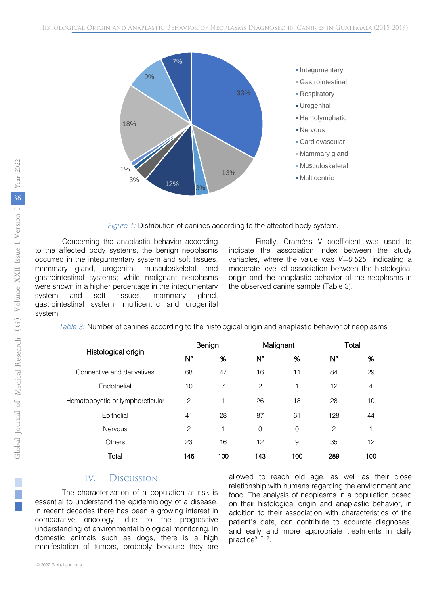

*Figure 1:* Distribution of canines according to the affected body system.

Concerning the anaplastic behavior according to the affected body systems, the benign neoplasms occurred in the integumentary system and soft tissues, mammary gland, urogenital, musculoskeletal, and gastrointestinal systems; while malignant neoplasms were shown in a higher percentage in the integumentary system and soft tissues, mammary gland, gastrointestinal system, multicentric and urogenital system.

Finally, Cramér's V coefficient was used to indicate the association index between the study variables, where the value was *V=0.525,* indicating a moderate level of association between the histological origin and the anaplastic behavior of the neoplasms in the observed canine sample (Table 3).

| Table 3: Number of canines according to the histological origin and anaplastic behavior of neoplasms |  |  |
|------------------------------------------------------------------------------------------------------|--|--|
|                                                                                                      |  |  |
|                                                                                                      |  |  |
|                                                                                                      |  |  |
|                                                                                                      |  |  |

| Histological origin              | Benign         |     |                | Malignant |     | Total          |
|----------------------------------|----------------|-----|----------------|-----------|-----|----------------|
|                                  | N°             | %   | $N^{\circ}$    | %         | N°  | %              |
| Connective and derivatives       | 68             | 47  | 16             | 11        | 84  | 29             |
| Endothelial                      | 10             | 7   | $\overline{c}$ | 1         | 12  | $\overline{4}$ |
| Hematopoyetic or lymphoreticular | $\overline{c}$ | 1   | 26             | 18        | 28  | 10             |
| Epithelial                       | 41             | 28  | 87             | 61        | 128 | 44             |
| <b>Nervous</b>                   | $\overline{c}$ | 1   | $\Omega$       | $\Omega$  | 2   | 1              |
| Others                           | 23             | 16  | 12             | 9         | 35  | 12             |
| Total                            | 146            | 100 | 143            | 100       | 289 | 100            |

#### IV. Discussion

The characterization of a population at risk is essential to understand the epidemiology of a disease. In recent decades there has been a growing interest in comparative oncology, due to the progressive understanding of environmental biological monitoring. In domestic animals such as dogs, there is a high manifestation of tumors, probably because they are allowed to reach old age, as well as their close relationship with humans regarding the environment and food. The analysis of neoplasms in a population based on their histological origin and anaplastic behavior, in addition to their association with characteristics of the patient's data, can contribute to accurate diagnoses, and early and more appropriate treatments in daily practice9,17,19.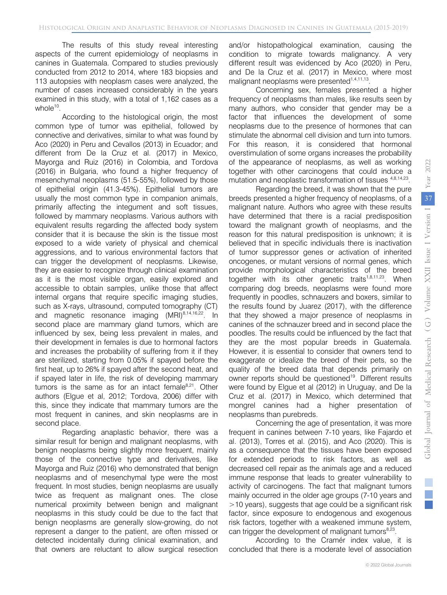The results of this study reveal interesting aspects of the current epidemiology of neoplasms in canines in Guatemala. Compared to studies previously conducted from 2012 to 2014, where 183 biopsies and 113 autopsies with neoplasm cases were analyzed, the number of cases increased considerably in the years examined in this study, with a total of 1,162 cases as a whole $10$ .

According to the histological origin, the most common type of tumor was epithelial, followed by connective and derivatives, similar to what was found by Aco (2020) in Peru and Cevallos (2013) in Ecuador; and different from De la Cruz et al. (2017) in Mexico, Mayorga and Ruiz (2016) in Colombia, and Tordova (2016) in Bulgaria, who found a higher frequency of mesenchymal neoplasms (51.5-55%), followed by those of epithelial origin (41.3-45%). Epithelial tumors are usually the most common type in companion animals, primarily affecting the integument and soft tissues, followed by mammary neoplasms. Various authors with equivalent results regarding the affected body system consider that it is because the skin is the tissue most exposed to a wide variety of physical and chemical aggressions, and to various environmental factors that can trigger the development of neoplasms. Likewise, they are easier to recognize through clinical examination as it is the most visible organ, easily explored and accessible to obtain samples, unlike those that affect internal organs that require specific imaging studies, such as X-rays, ultrasound, computed tomography (CT) and magnetic resonance imaging (MRI)<sup>8,14,16,22</sup>. In second place are mammary gland tumors, which are influenced by sex, being less prevalent in males, and their development in females is due to hormonal factors and increases the probability of suffering from it if they are sterilized, starting from 0.05% if spayed before the first heat, up to 26% if spayed after the second heat, and if spayed later in life, the risk of developing mammary tumors is the same as for an intact female $8,21$ . Other authors (Elgue et al, 2012; Tordova, 2006) differ with this, since they indicate that mammary tumors are the most frequent in canines, and skin neoplasms are in second place.

Regarding anaplastic behavior, there was a similar result for benign and malignant neoplasms, with benign neoplasms being slightly more frequent, mainly those of the connective type and derivatives, like Mayorga and Ruiz (2016) who demonstrated that benign neoplasms and of mesenchymal type were the most frequent. In most studies, benign neoplasms are usually twice as frequent as malignant ones. The close numerical proximity between benign and malignant neoplasms in this study could be due to the fact that benign neoplasms are generally slow-growing, do not represent a danger to the patient, are often missed or detected incidentally during clinical examination, and that owners are reluctant to allow surgical resection

and/or histopathological examination, causing the condition to migrate towards malignancy. A very different result was evidenced by Aco (2020) in Peru, and De la Cruz et al. (2017) in Mexico, where most malignant neoplasms were presented<sup>1,4,11,13</sup>.

Concerning sex, females presented a higher frequency of neoplasms than males, like results seen by many authors, who consider that gender may be a factor that influences the development of some neoplasms due to the presence of hormones that can stimulate the abnormal cell division and turn into tumors. For this reason, it is considered that hormonal overstimulation of some organs increases the probability of the appearance of neoplasms, as well as working together with other carcinogens that could induce a mutation and neoplastic transformation of tissues  $4,8,14,23$ .

Regarding the breed, it was shown that the pure breeds presented a higher frequency of neoplasms, of a malignant nature. Authors who agree with these results have determined that there is a racial predisposition toward the malignant growth of neoplasms, and the reason for this natural predisposition is unknown; it is believed that in specific individuals there is inactivation of tumor suppressor genes or activation of inherited oncogenes, or mutant versions of normal genes, which provide morphological characteristics of the breed together with its other genetic traits<sup>1,8,11,23</sup>. When comparing dog breeds, neoplasms were found more frequently in poodles, schnauzers and boxers, similar to the results found by Juarez (2017), with the difference that they showed a major presence of neoplasms in canines of the schnauzer breed and in second place the poodles. The results could be influenced by the fact that they are the most popular breeds in Guatemala. However, it is essential to consider that owners tend to exaggerate or idealize the breed of their pets, so the quality of the breed data that depends primarily on owner reports should be questioned<sup>19</sup>. Different results were found by Elgue et al (2012) in Uruguay, and De la Cruz et al. (2017) in Mexico, which determined that mongrel canines had a higher presentation of neoplasms than purebreds.

Concerning the age of presentation, it was more frequent in canines between 7-10 years, like Fajardo et al. (2013), Torres et al. (2015), and Aco (2020). This is as a consequence that the tissues have been exposed for extended periods to risk factors, as well as decreased cell repair as the animals age and a reduced immune response that leads to greater vulnerability to activity of carcinogens. The fact that malignant tumors mainly occurred in the older age groups (7-10 years and >10 years), suggests that age could be a significant risk factor, since exposure to endogenous and exogenous risk factors, together with a weakened immune system, can trigger the development of malignant tumors<sup>8,23</sup>.

According to the Cramér index value, it is concluded that there is a moderate level of association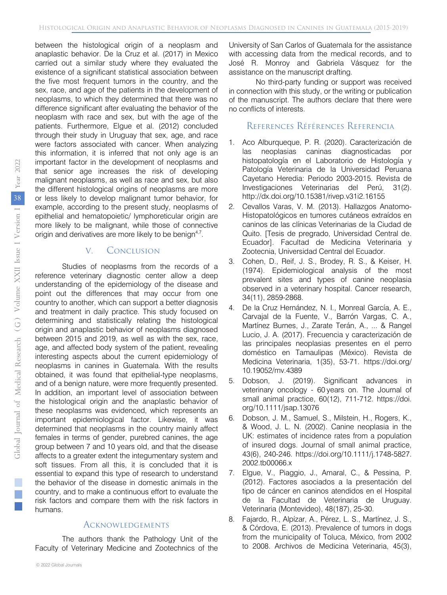between the histological origin of a neoplasm and anaplastic behavior. De la Cruz et al. (2017) in Mexico carried out a similar study where they evaluated the existence of a significant statistical association between the five most frequent tumors in the country, and the sex, race, and age of the patients in the development of neoplasms, to which they determined that there was no difference significant after evaluating the behavior of the neoplasm with race and sex, but with the age of the patients. Furthermore, Elgue et al. (2012) concluded through their study in Uruguay that sex, age, and race were factors associated with cancer. When analyzing this information, it is inferred that not only age is an important factor in the development of neoplasms and that senior age increases the risk of developing malignant neoplasms, as well as race and sex, but also the different histological origins of neoplasms are more or less likely to develop malignant tumor behavior, for example, according to the present study, neoplasms of epithelial and hematopoietic/ lymphoreticular origin are more likely to be malignant, while those of connective origin and derivatives are more likely to be benign<sup>4,7</sup>.

#### V. Conclusion

Studies of neoplasms from the records of a reference veterinary diagnostic center allow a deep understanding of the epidemiology of the disease and point out the differences that may occur from one country to another, which can support a better diagnosis and treatment in daily practice. This study focused on determining and statistically relating the histological origin and anaplastic behavior of neoplasms diagnosed between 2015 and 2019, as well as with the sex, race, age, and affected body system of the patient, revealing interesting aspects about the current epidemiology of neoplasms in canines in Guatemala. With the results obtained, it was found that epithelial-type neoplasms, and of a benign nature, were more frequently presented. In addition, an important level of association between the histological origin and the anaplastic behavior of these neoplasms was evidenced, which represents an important epidemiological factor. Likewise, it was determined that neoplasms in the country mainly affect females in terms of gender, purebred canines, the age group between 7 and 10 years old, and that the disease affects to a greater extent the integumentary system and soft tissues. From all this, it is concluded that it is essential to expand this type of research to understand the behavior of the disease in domestic animals in the country, and to make a continuous effort to evaluate the risk factors and compare them with the risk factors in humans.

#### **ACKNOWLEDGEMENTS**

The authors thank the Pathology Unit of the Faculty of Veterinary Medicine and Zootechnics of the

University of San Carlos of Guatemala for the assistance with accessing data from the medical records, and to José R. Monroy and Gabriela Vásquez for the assistance on the manuscript drafting.

No third-party funding or support was received in connection with this study, or the writing or publication of the manuscript. The authors declare that there were no conflicts of interests.

### References Références Referencia

- 1. Aco Alburqueque, P. R. (2020). Caracterización de las neoplasias caninas diagnosticadas por histopatología en el Laboratorio de Histología y Patología Veterinaria de la Universidad Peruana Cayetano Heredia: Periodo 2003-2015. Revista de Investigaciones Veterinarias del Perú, 31(2). http://dx.doi.org/10.15381/rivep.v31i2.16155
- 2. Cevallos Varas, V. M. (2013). Hallazgos Anatomo-Histopatológicos en tumores cutáneos extraídos en caninos de las clínicas Veterinarias de la Ciudad de Quito. [Tesis de pregrado, Universidad Central de. Ecuador]. Facultad de Medicina Veterinaria y Zootecnia, Universidad Central del Ecuador.
- 3. Cohen, D., Reif, J. S., Brodey, R. S., & Keiser, H. (1974). Epidemiological analysis of the most prevalent sites and types of canine neoplasia observed in a veterinary hospital. Cancer research, 34(11), 2859-2868.
- 4. De la Cruz Hernández, N. I., Monreal García, A. E., Carvajal de la Fuente, V., Barrón Vargas, C. A., Martínez Burnes, J., Zarate Terán, A., ... & Rangel Lucio, J. A. (2017). Frecuencia y caracterización de las principales neoplasias presentes en el perro doméstico en Tamaulipas (México). Revista de Medicina Veterinaria, 1(35), 53-71. https://doi.org/ 10.19052/mv.4389
- 5. Dobson, J. (2019). Significant advances in veterinary oncology - 60 years on. The Journal of small animal practice, 60(12), 711-712. https://doi. org/10.1111/jsap.13076
- 6. Dobson, J. M., Samuel, S., Milstein, H., Rogers, K., & Wood, J. L. N. (2002). Canine neoplasia in the UK: estimates of incidence rates from a population of insured dogs. Journal of small animal practice, 43(6), 240-246. https://doi.org/10.1111/j.1748-5827. 2002.tb00066.x
- 7. Elgue, V., Piaggio, J., Amaral, C., & Pessina, P. (2012). Factores asociados a la presentación del tipo de cáncer en caninos atendidos en el Hospital de la Facultad de Veterinaria de Uruguay. Veterinaria (Montevideo), 48(187), 25-30.
- 8. Fajardo, R., Alpízar, A., Pérez, L. S., Martínez, J. S., & Córdova, E. (2013). Prevalence of tumors in dogs from the municipality of Toluca, México, from 2002 to 2008. Archivos de Medicina Veterinaria, 45(3),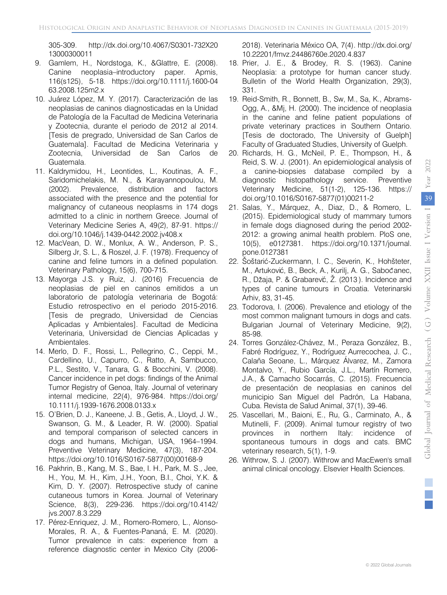305-309. http://dx.doi.org/10.4067/S0301-732X20 13000300011

- 9. Gamlem, H., Nordstoga, K., &Glattre, E. (2008). Canine neoplasia–introductory paper. Apmis, 116(s125), 5-18. https://doi.org/10.1111/j.1600-04 63.2008.125m2.x
- 10. Juárez López, M. Y. (2017). Caracterización de las neoplasias de caninos diagnosticadas en la Unidad de Patología de la Facultad de Medicina Veterinaria y Zootecnia, durante el periodo de 2012 al 2014. [Tesis de pregrado, Universidad de San Carlos de Guatemala]. Facultad de Medicina Veterinaria y Zootecnia, Universidad de San Carlos de Guatemala.
- 11. Kaldrymidou, H., Leontides, L., Koutinas, A. F., Saridomichelakis, M. N., & Karayannopoulou, M. (2002). Prevalence, distribution and factors associated with the presence and the potential for malignancy of cutaneous neoplasms in 174 dogs admitted to a clinic in northern Greece. Journal of Veterinary Medicine Series A, 49(2), 87-91. https:// doi.org/10.1046/j.1439-0442.2002.jv408.x
- 12. MacVean, D. W., Monlux, A. W., Anderson, P. S., Silberg Jr, S. L., & Roszel, J. F. (1978). Frequency of canine and feline tumors in a defined population. Veterinary Pathology, 15(6), 700-715.
- 13. Mayorga J.S. y Ruiz, J. (2016) Frecuencia de neoplasias de piel en caninos emitidos a un laboratorio de patología veterinaria de Bogotá: Estudio retrospectivo en el periodo 2015-2016. [Tesis de pregrado, Universidad de Ciencias Aplicadas y Ambientales]. Facultad de Medicina Veterinaria, Universidad de Ciencias Aplicadas y Ambientales.
- 14. Merlo, D. F., Rossi, L., Pellegrino, C., Ceppi, M., Cardellino, U., Capurro, C., Ratto, A, Sambucco, P.L., Sestito, V., Tanara, G. & Bocchini, V. (2008). Cancer incidence in pet dogs: findings of the Animal Tumor Registry of Genoa, Italy. Journal of veterinary internal medicine, 22(4), 976-984. https://doi.org/ 10.1111/j.1939-1676.2008.0133.x
- 15. O'Brien, D. J., Kaneene, J. B., Getis, A., Lloyd, J. W., Swanson, G. M., & Leader, R. W. (2000). Spatial and temporal comparison of selected cancers in dogs and humans, Michigan, USA, 1964–1994. Preventive Veterinary Medicine, 47(3), 187-204. https://doi.org/10.1016/S0167-5877(00)00168-9
- 16. Pakhrin, B., Kang, M. S., Bae, I. H., Park, M. S., Jee, H., You, M. H., Kim, J.H., Yoon, B.I., Choi, Y.K. & Kim, D. Y. (2007). Retrospective study of canine cutaneous tumors in Korea. Journal of Veterinary Science, 8(3), 229-236. https://doi.org/10.4142/ jvs.2007.8.3.229
- 17. Pérez-Enriquez, J. M., Romero-Romero, L., Alonso-Morales, R. A., & Fuentes-Pananá, E. M. (2020). Tumor prevalence in cats: experience from a reference diagnostic center in Mexico City (2006-

2018). Veterinaria México OA, 7(4). http://dx.doi.org/ 10.22201/fmvz.24486760e.2020.4.837

- 18. Prier, J. E., & Brodey, R. S. (1963). Canine Neoplasia: a prototype for human cancer study. Bulletin of the World Health Organization, 29(3), 331.
- 19. Reid-Smith, R., Bonnett, B., Sw, M., Sa, K., Abrams-Ogg, A., &Mj, H. (2000). The incidence of neoplasia in the canine and feline patient populations of private veterinary practices in Southern Ontario. [Tesis de doctorado, The University of Guelph] Faculty of Graduated Studies, University of Guelph.
- 20. Richards, H. G., McNeil, P. E., Thompson, H., & Reid, S. W. J. (2001). An epidemiological analysis of a canine-biopsies database compiled by a diagnostic histopathology service. Preventive Veterinary Medicine, 51(1-2), 125-136. https:// doi.org/10.1016/S0167-5877(01)00211-2
- 21. Salas, Y., Márquez, A., Diaz, D., & Romero, L. (2015). Epidemiological study of mammary tumors in female dogs diagnosed during the period 2002- 2012: a growing animal health problem. PloS one, 10(5), e0127381. https://doi.org/10.1371/journal. pone.0127381
- 22. Šoštarić-Zuckermann, I. C., Severin, K., Hohšteter, M., Artuković, B., Beck, A., Kurilj, A. G., Sabočanec, R., Džaja, P. & Grabarev $\acute{c}$ , Ž. (2013). Incidence and types of canine tumours in Croatia. Veterinarski Arhiv, 83, 31-45.
- 23. Todorova, I. (2006). Prevalence and etiology of the most common malignant tumours in dogs and cats. Bulgarian Journal of Veterinary Medicine, 9(2), 85-98.
- 24. Torres González-Chávez, M., Peraza González, B., Fabré Rodríguez, Y., Rodríguez Aurrecochea, J. C., Calaña Seoane, L., Márquez Álvarez, M., Zamora Montalvo, Y., Rubio García, J.L., Martín Romero, J.A., & Camacho Socarrás, C. (2015). Frecuencia de presentación de neoplasias en caninos del municipio San Miguel del Padrón, La Habana, Cuba. Revista de Salud Animal, 37(1), 39-46.
- 25. Vascellari, M., Baioni, E., Ru, G., Carminato, A., & Mutinelli, F. (2009). Animal tumour registry of two provinces in northern Italy: incidence of spontaneous tumours in dogs and cats. BMC veterinary research, 5(1), 1-9.
- 26. Withrow, S. J. (2007). Withrow and MacEwen's small animal clinical oncology. Elsevier Health Sciences.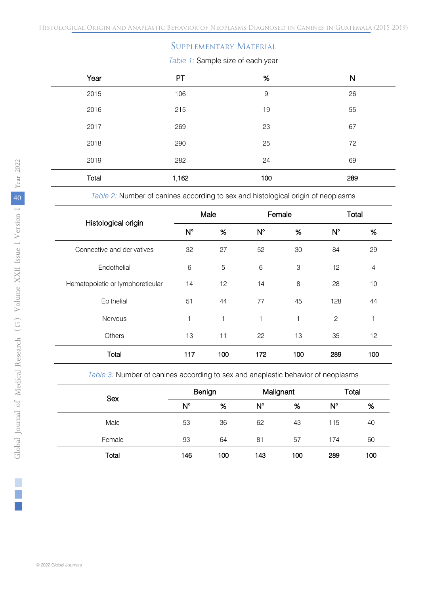## Supplementary Material

*Table 1:* Sample size of each year

| Year  | PT    | $\%$        | N   |
|-------|-------|-------------|-----|
| 2015  | 106   | $\mathsf 9$ | 26  |
| 2016  | 215   | 19          | 55  |
| 2017  | 269   | 23          | 67  |
| 2018  | 290   | 25          | 72  |
| 2019  | 282   | 24          | 69  |
| Total | 1,162 | 100         | 289 |

*Table 2:* Number of canines according to sex and histological origin of neoplasms

| Histological origin              |     | Male         | Female      |              |             | Total          |
|----------------------------------|-----|--------------|-------------|--------------|-------------|----------------|
|                                  | N°  | $\%$         | $N^{\circ}$ | $\%$         | $N^{\circ}$ | $\%$           |
| Connective and derivatives       | 32  | 27           | 52          | 30           | 84          | 29             |
| Endothelial                      | 6   | 5            | 6           | 3            | 12          | $\overline{4}$ |
| Hematopoietic or lymphoreticular | 14  | 12           | 14          | 8            | 28          | 10             |
| Epithelial                       | 51  | 44           | 77          | 45           | 128         | 44             |
| <b>Nervous</b>                   | 1   | $\mathbf{1}$ | 1           | $\mathbf{1}$ | 2           | 1              |
| Others                           | 13  | 11           | 22          | 13           | 35          | 12             |
| Total                            | 117 | 100          | 172         | 100          | 289         | 100            |

*Table 3:* Number of canines according to sex and anaplastic behavior of neoplasms

٦

٦

Ι

٦

٦

Ι

Ι

| <b>Sex</b> |             | Benign | Malignant   |     |     | Total |
|------------|-------------|--------|-------------|-----|-----|-------|
|            | $N^{\circ}$ | %      | $N^{\circ}$ | %   | N°  | %     |
| Male       | 53          | 36     | 62          | 43  | 115 | 40    |
| Female     | 93          | 64     | 81          | 57  | 174 | 60    |
| Total      | 146         | 100    | 143         | 100 | 289 | 100   |
|            |             |        |             |     |     |       |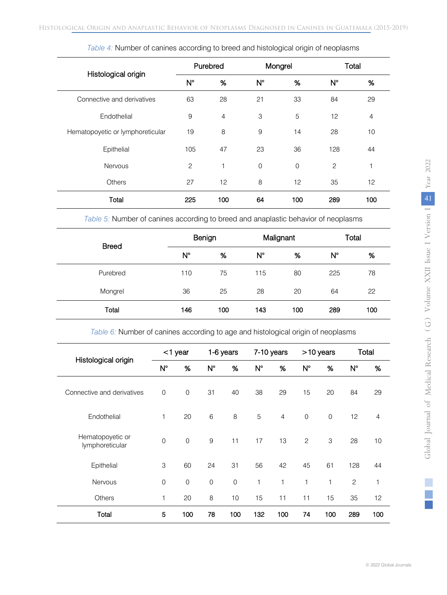| Histological origin              | Purebred<br>Mongrel |                |                |      |     | Total<br>$N^{\circ}$<br>$\%$<br>29<br>84<br>12<br>5<br>$\overline{4}$<br>10<br>28<br>128<br>44<br>$\overline{c}$<br>$\mathbf 0$<br>1<br>12<br>35 |
|----------------------------------|---------------------|----------------|----------------|------|-----|--------------------------------------------------------------------------------------------------------------------------------------------------|
|                                  | $N^{\circ}$         | $\%$           | $N^{\circ}$    | $\%$ |     |                                                                                                                                                  |
| Connective and derivatives       | 63                  | 28             | 21             | 33   |     |                                                                                                                                                  |
| Endothelial                      | 9                   | $\overline{4}$ | 3              |      |     |                                                                                                                                                  |
| Hematopoyetic or lymphoreticular | 19                  | 8              | 9              | 14   |     |                                                                                                                                                  |
| Epithelial                       | 105                 | 47             | 23             | 36   |     |                                                                                                                                                  |
| <b>Nervous</b>                   | $\overline{c}$      | 1              | $\overline{0}$ |      |     |                                                                                                                                                  |
| <b>Others</b>                    | 27                  | 12             | 8              | 12   |     |                                                                                                                                                  |
| Total                            | 225                 | 100            | 64             | 100  | 289 | 100                                                                                                                                              |

*Table 4:* Number of canines according to breed and histological origin of neoplasms

*Table 5:* Number of canines according to breed and anaplastic behavior of neoplasms

| <b>Breed</b> |     | Benign |             | Malignant |     | Total |
|--------------|-----|--------|-------------|-----------|-----|-------|
|              | N°  | %      | $N^{\circ}$ | %         | N°  | %     |
| Purebred     | 110 | 75     | 115         | 80        | 225 | 78    |
| Mongrel      | 36  | 25     | 28          | 20        | 64  | 22    |
| Total        | 146 | 100    | 143         | 100       | 289 | 100   |

*Table 6:* Number of canines according to age and histological origin of neoplasms

| Histological origin                 |                     | $<$ 1 year  |             | 1-6 years           |             | 7-10 years     |                | >10 years   |             | Total          |
|-------------------------------------|---------------------|-------------|-------------|---------------------|-------------|----------------|----------------|-------------|-------------|----------------|
|                                     | $N^{\circ}$         | %           | $N^{\circ}$ | %                   | $N^{\circ}$ | %              | $N^{\circ}$    | %           | $N^{\circ}$ | %              |
| Connective and derivatives          | $\mathbf 0$         | $\mathbf 0$ | 31          | 40                  | 38          | 29             | 15             | 20          | 84          | 29             |
| Endothelial                         | 1                   | 20          | 6           | 8                   | 5           | $\overline{4}$ | $\mathbf 0$    | $\mathbf 0$ | 12          | $\overline{4}$ |
| Hematopoyetic or<br>lymphoreticular | $\overline{0}$      | $\mathbf 0$ | 9           | 11                  | 17          | 13             | $\overline{c}$ | 3           | 28          | 10             |
| Epithelial                          | 3                   | 60          | 24          | 31                  | 56          | 42             | 45             | 61          | 128         | 44             |
| <b>Nervous</b>                      | $\mathsf{O}\xspace$ | $\mathbf 0$ | $\mathbf 0$ | $\mathsf{O}\xspace$ | 1           | $\mathbf{1}$   | 1              | 1           | 2           | 1              |
| Others                              | 1                   | 20          | 8           | 10                  | 15          | 11             | 11             | 15          | 35          | 12             |
| Total                               | 5                   | 100         | 78          | 100                 | 132         | 100            | 74             | 100         | 289         | 100            |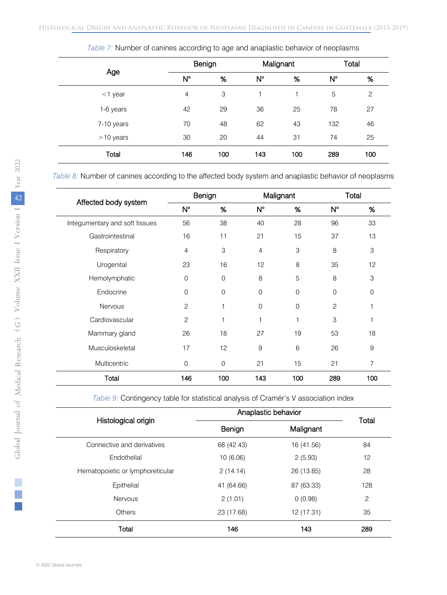|             |                | Benign |             | Malignant |             | Total        |
|-------------|----------------|--------|-------------|-----------|-------------|--------------|
| Age         | $N^{\circ}$    | %      | $N^{\circ}$ | $\%$      | $N^{\circ}$ | $\%$         |
| $<$ 1 year  | $\overline{4}$ | 3      | 1           | 1         | 5           | $\mathbf{2}$ |
| 1-6 years   | 42             | 29     | 36          | 25        | 78          | 27           |
| 7-10 years  | 70             | 48     | 62          | 43        | 132         | 46           |
| $>10$ years | 30             | 20     | 44          | 31        | 74          | 25           |
| Total       | 146            | 100    | 143         | 100       | 289         | 100          |

*Table 7:* Number of canines according to age and anaplastic behavior of neoplasms

*Table 8:* Number of canines according to the affected body system and anaplastic behavior of neoplasms

| Affected body system           | Benign         |             | Malignant      |             | Total          |      |
|--------------------------------|----------------|-------------|----------------|-------------|----------------|------|
|                                | $N^{\circ}$    | $\%$        | $N^{\circ}$    | $\%$        | N°             | $\%$ |
| Integumentary and soft tissues | 56             | 38          | 40             | 28          | 96             | 33   |
| Gastrointestinal               | 16             | 11          | 21             | 15          | 37             | 13   |
| Respiratory                    | $\overline{4}$ | 3           | $\overline{4}$ | 3           | 8              | 3    |
| Urogenital                     | 23             | 16          | 12             | 8           | 35             | 12   |
| Hemolymphatic                  | $\Omega$       | $\Omega$    | 8              | 5           | 8              | 3    |
| Endocrine                      | 0              | $\Omega$    | $\mathbf 0$    | $\mathbf 0$ | 0              | 0    |
| <b>Nervous</b>                 | $\overline{c}$ | 1           | $\mathbf 0$    | $\mathbf 0$ | $\overline{c}$ | 1    |
| Cardiovascular                 | $\mathbf{2}$   | 1           | 1              | 1           | 3              | 1    |
| Mammary gland                  | 26             | 18          | 27             | 19          | 53             | 18   |
| Musculoskeletal                | 17             | 12          | 9              | 6           | 26             | 9    |
| Multicentric                   | 0              | $\mathbf 0$ | 21             | 15          | 21             | 7    |
| Total                          | 146            | 100         | 143            | 100         | 289            | 100  |

*Table 9:* Contingency table for statistical analysis of Cramér's V association index

|                                  | Anaplastic behavior |            |                    |  |
|----------------------------------|---------------------|------------|--------------------|--|
| Histological origin              | Benign              |            | Total<br>Malignant |  |
| Connective and derivatives       | 68 (42.43)          | 16 (41.56) | 84                 |  |
| Fndothelial                      | 10(6.06)            | 2(5.93)    | 12                 |  |
| Hematopoietic or lymphoreticular | 2(14.14)            | 26 (13.85) | 28                 |  |
| Epithelial                       | 41 (64.66)          | 87 (63.33) | 128                |  |
| <b>Nervous</b>                   | 2(1.01)             | 0(0.98)    | 2                  |  |
| Others                           | 23 (17.68)          | 12 (17.31) | 35                 |  |
| Total                            | 146                 | 143        | 289                |  |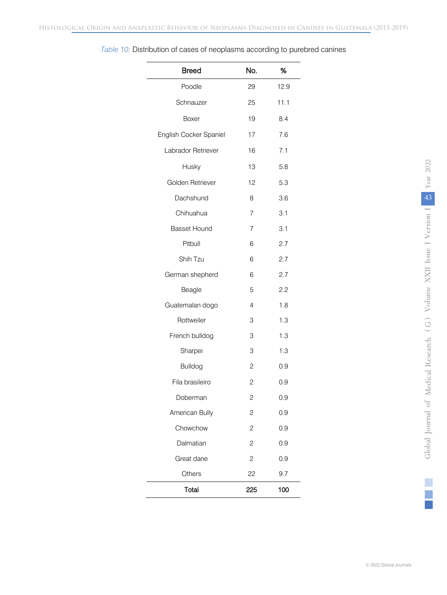| <b>Breed</b>           | No.            | %    |
|------------------------|----------------|------|
| Poodle                 | 29             | 12.9 |
| Schnauzer              | 25             | 11.1 |
| Boxer                  | 19             | 8.4  |
| English Cocker Spaniel | 17             | 7.6  |
| Labrador Retriever     | 16             | 7.1  |
| Husky                  | 13             | 5.8  |
| Golden Retriever       | 12             | 5.3  |
| Dachshund              | 8              | 3.6  |
| Chihuahua              | 7              | 3.1  |
| <b>Basset Hound</b>    | 7              | 3.1  |
| Pitbull                | 6              | 2.7  |
| Shih Tzu               | 6              | 2.7  |
| German shepherd        | 6              | 2.7  |
| Beagle                 | 5              | 2.2  |
| Guatemalan dogo        | 4              | 1.8  |
| Rottweiler             | 3              | 1.3  |
| French bulldog         | 3              | 1.3  |
| Sharpei                | 3              | 1.3  |
| <b>Bulldog</b>         | 2              | 0.9  |
| Fila brasileiro        | $\overline{c}$ | 0.9  |
| Doberman               | $\overline{c}$ | 0.9  |
| American Bully         | 2              | 0.9  |
| Chowchow               | $\overline{c}$ | 0.9  |
| Dalmatian              | 2              | 0.9  |
| Great dane             | 2              | 0.9  |
| Others                 | 22             | 9.7  |
| Total                  | 225            | 100  |

## *Table 10:* Distribution of cases of neoplasms according to purebred canines